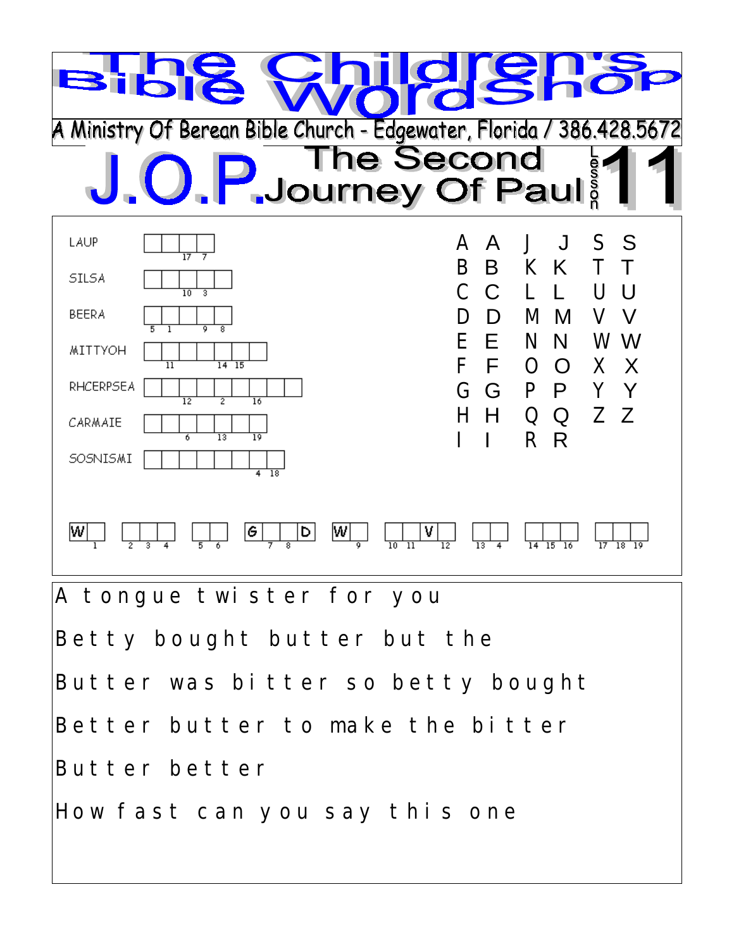

Betty bought butter but the

Butter was bitter so betty bought

Better butter to make the bitter

Butter better

How fast can you say this one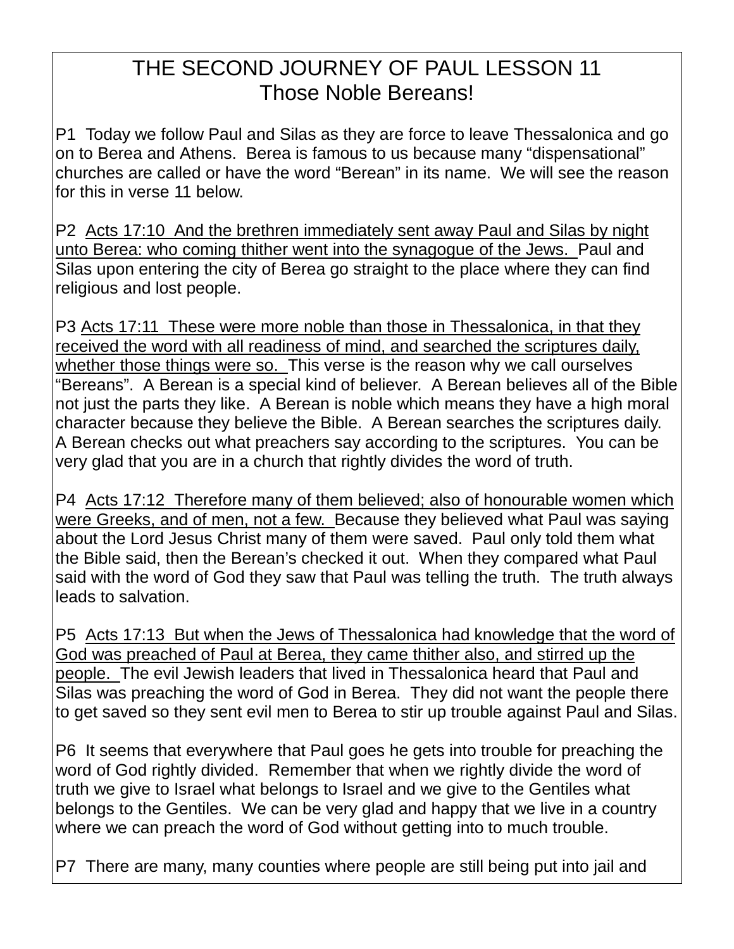## THE SECOND JOURNEY OF PAUL LESSON 11 Those Noble Bereans!

P1 Today we follow Paul and Silas as they are force to leave Thessalonica and go on to Berea and Athens. Berea is famous to us because many "dispensational" churches are called or have the word "Berean" in its name. We will see the reason for this in verse 11 below.

P2 Acts 17:10 And the brethren immediately sent away Paul and Silas by night unto Berea: who coming thither went into the synagogue of the Jews. Paul and Silas upon entering the city of Berea go straight to the place where they can find religious and lost people.

P3 Acts 17:11 These were more noble than those in Thessalonica, in that they received the word with all readiness of mind, and searched the scriptures daily, whether those things were so. This verse is the reason why we call ourselves "Bereans". A Berean is a special kind of believer. A Berean believes all of the Bible not just the parts they like. A Berean is noble which means they have a high moral character because they believe the Bible. A Berean searches the scriptures daily. A Berean checks out what preachers say according to the scriptures. You can be very glad that you are in a church that rightly divides the word of truth.

P4 Acts 17:12 Therefore many of them believed; also of honourable women which were Greeks, and of men, not a few. Because they believed what Paul was saying about the Lord Jesus Christ many of them were saved. Paul only told them what the Bible said, then the Berean's checked it out. When they compared what Paul said with the word of God they saw that Paul was telling the truth. The truth always leads to salvation.

P5 Acts 17:13 But when the Jews of Thessalonica had knowledge that the word of God was preached of Paul at Berea, they came thither also, and stirred up the people. The evil Jewish leaders that lived in Thessalonica heard that Paul and Silas was preaching the word of God in Berea. They did not want the people there to get saved so they sent evil men to Berea to stir up trouble against Paul and Silas.

P6 It seems that everywhere that Paul goes he gets into trouble for preaching the word of God rightly divided. Remember that when we rightly divide the word of truth we give to Israel what belongs to Israel and we give to the Gentiles what belongs to the Gentiles. We can be very glad and happy that we live in a country where we can preach the word of God without getting into to much trouble.

P7 There are many, many counties where people are still being put into jail and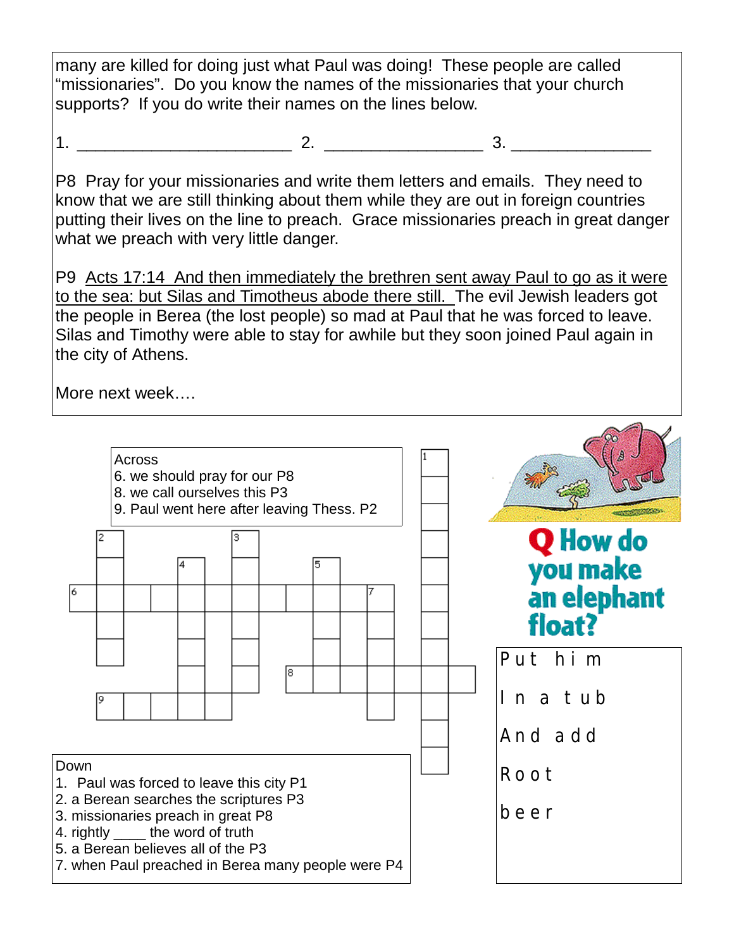many are killed for doing just what Paul was doing! These people are called "missionaries". Do you know the names of the missionaries that your church supports? If you do write their names on the lines below.

1. \_\_\_\_\_\_\_\_\_\_\_\_\_\_\_\_\_\_\_\_\_\_\_ 2. \_\_\_\_\_\_\_\_\_\_\_\_\_\_\_\_\_ 3. \_\_\_\_\_\_\_\_\_\_\_\_\_\_\_

P8 Pray for your missionaries and write them letters and emails. They need to know that we are still thinking about them while they are out in foreign countries putting their lives on the line to preach. Grace missionaries preach in great danger what we preach with very little danger.

P9 Acts 17:14 And then immediately the brethren sent away Paul to go as it were to the sea: but Silas and Timotheus abode there still. The evil Jewish leaders got the people in Berea (the lost people) so mad at Paul that he was forced to leave. Silas and Timothy were able to stay for awhile but they soon joined Paul again in the city of Athens.

More next week….